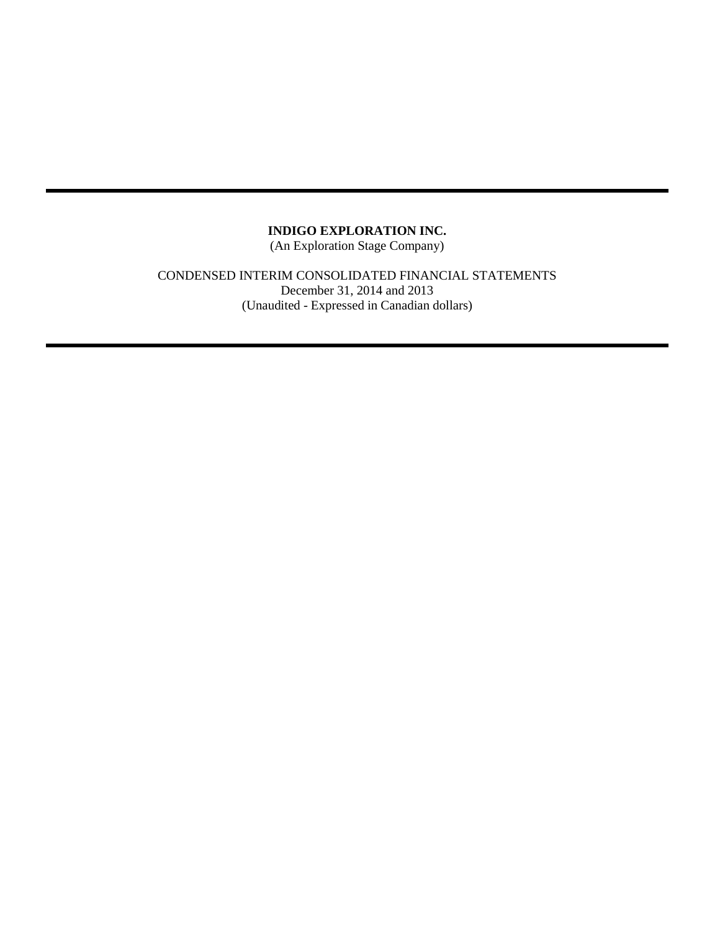(An Exploration Stage Company)

CONDENSED INTERIM CONSOLIDATED FINANCIAL STATEMENTS December 31, 2014 and 2013 (Unaudited - Expressed in Canadian dollars)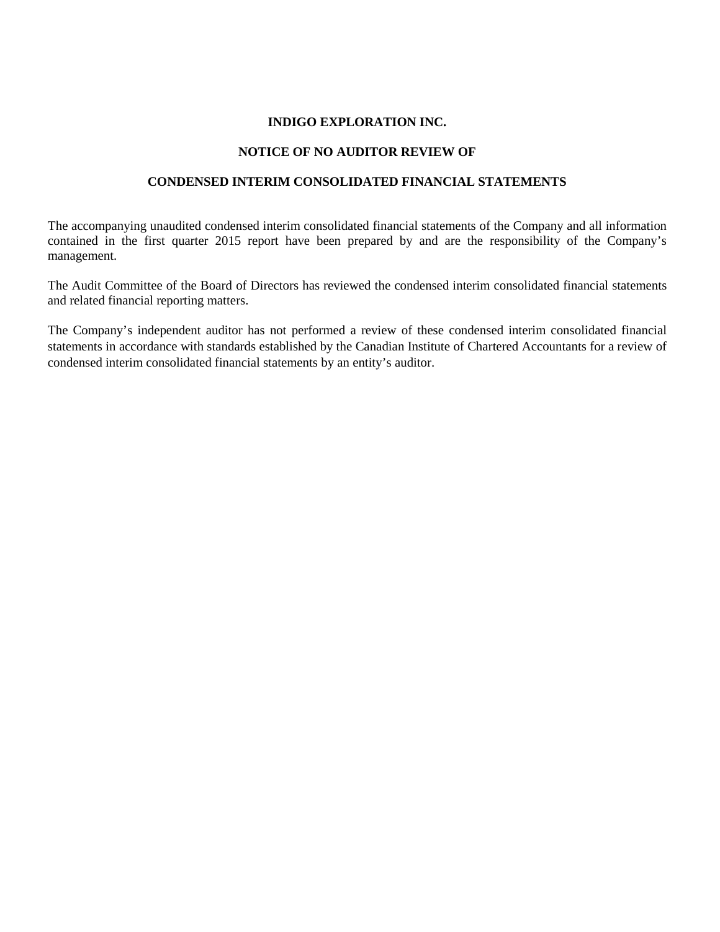### **NOTICE OF NO AUDITOR REVIEW OF**

# **CONDENSED INTERIM CONSOLIDATED FINANCIAL STATEMENTS**

The accompanying unaudited condensed interim consolidated financial statements of the Company and all information contained in the first quarter 2015 report have been prepared by and are the responsibility of the Company's management.

The Audit Committee of the Board of Directors has reviewed the condensed interim consolidated financial statements and related financial reporting matters.

The Company's independent auditor has not performed a review of these condensed interim consolidated financial statements in accordance with standards established by the Canadian Institute of Chartered Accountants for a review of condensed interim consolidated financial statements by an entity's auditor.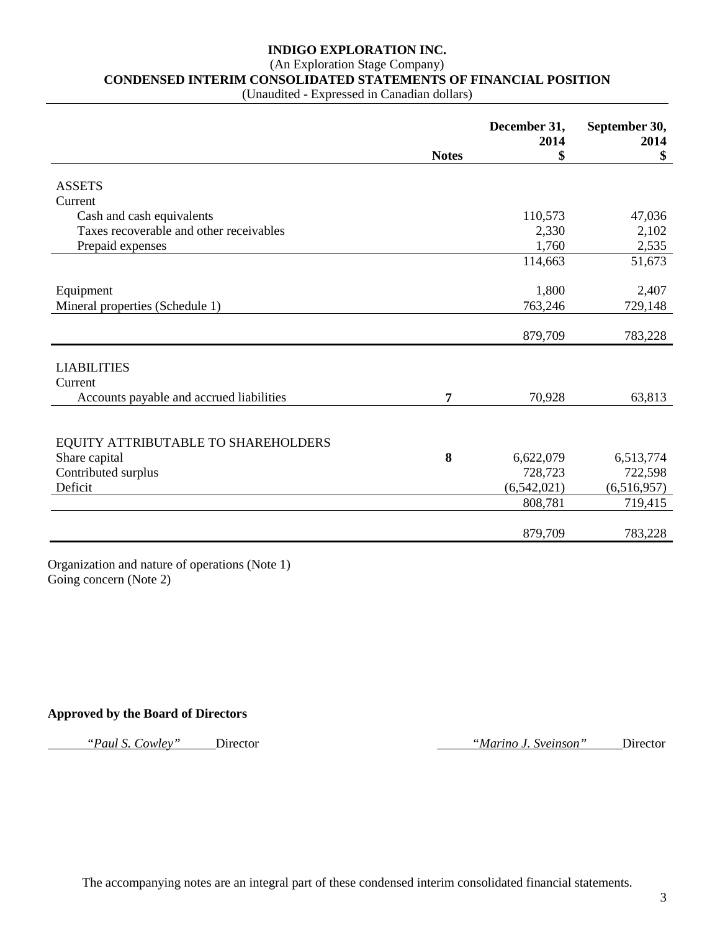# (An Exploration Stage Company)

**CONDENSED INTERIM CONSOLIDATED STATEMENTS OF FINANCIAL POSITION**

(Unaudited - Expressed in Canadian dollars)

|                                                      |              | December 31,<br>2014 | September 30,<br>2014 |
|------------------------------------------------------|--------------|----------------------|-----------------------|
|                                                      | <b>Notes</b> | \$                   | \$                    |
| <b>ASSETS</b>                                        |              |                      |                       |
| Current                                              |              |                      |                       |
| Cash and cash equivalents                            |              | 110,573              | 47,036                |
| Taxes recoverable and other receivables              |              | 2,330                | 2,102                 |
| Prepaid expenses                                     |              | 1,760                | 2,535                 |
|                                                      |              | 114,663              | 51,673                |
|                                                      |              |                      |                       |
| Equipment                                            |              | 1,800                | 2,407                 |
| Mineral properties (Schedule 1)                      |              | 763,246              | 729,148               |
|                                                      |              |                      |                       |
|                                                      |              | 879,709              | 783,228               |
|                                                      |              |                      |                       |
| <b>LIABILITIES</b>                                   |              |                      |                       |
| Current                                              |              |                      |                       |
| Accounts payable and accrued liabilities             | 7            | 70,928               | 63,813                |
|                                                      |              |                      |                       |
|                                                      |              |                      |                       |
| EQUITY ATTRIBUTABLE TO SHAREHOLDERS<br>Share capital | 8            | 6,622,079            | 6,513,774             |
| Contributed surplus                                  |              | 728,723              | 722,598               |
| Deficit                                              |              | (6,542,021)          | (6,516,957)           |
|                                                      |              | 808,781              | 719,415               |
|                                                      |              |                      |                       |
|                                                      |              | 879,709              | 783,228               |
|                                                      |              |                      |                       |

Organization and nature of operations (Note 1) Going concern (Note 2)

### **Approved by the Board of Directors**

*"Paul S. Cowley"* Director *"Marino J. Sveinson"* Director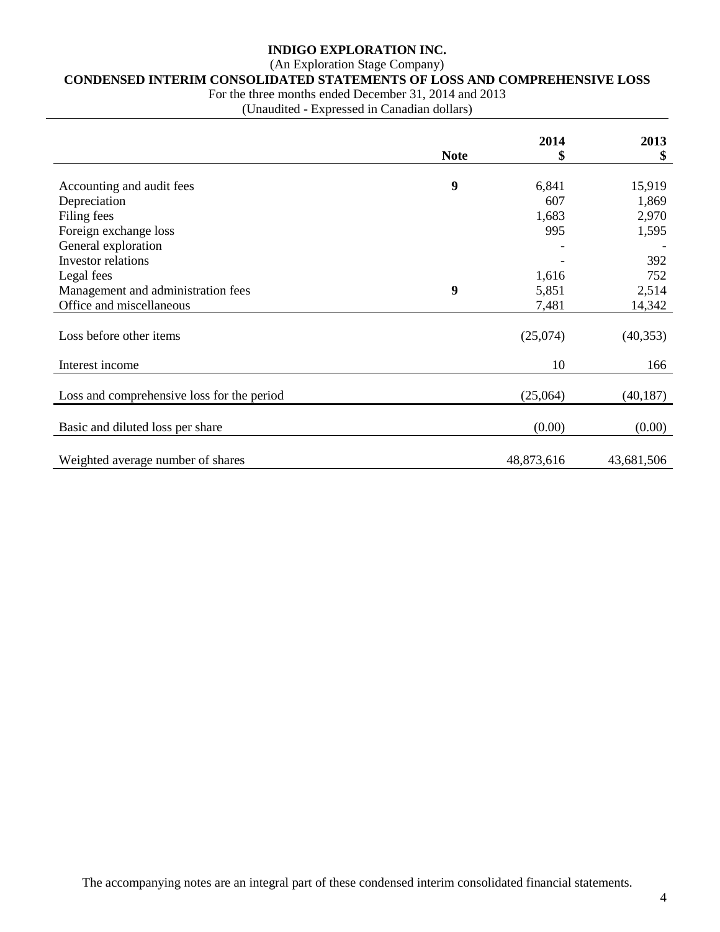# (An Exploration Stage Company)

# **CONDENSED INTERIM CONSOLIDATED STATEMENTS OF LOSS AND COMPREHENSIVE LOSS**

For the three months ended December 31, 2014 and 2013

(Unaudited - Expressed in Canadian dollars)

|                                            |             | 2014       | 2013       |
|--------------------------------------------|-------------|------------|------------|
|                                            | <b>Note</b> | \$         | \$         |
|                                            |             |            |            |
| Accounting and audit fees                  | 9           | 6,841      | 15,919     |
| Depreciation                               |             | 607        | 1,869      |
| Filing fees                                |             | 1,683      | 2,970      |
| Foreign exchange loss                      |             | 995        | 1,595      |
| General exploration                        |             |            |            |
| <b>Investor</b> relations                  |             |            | 392        |
| Legal fees                                 |             | 1,616      | 752        |
| Management and administration fees         | 9           | 5,851      | 2,514      |
| Office and miscellaneous                   |             | 7,481      | 14,342     |
|                                            |             |            |            |
| Loss before other items                    |             | (25,074)   | (40, 353)  |
|                                            |             |            |            |
| Interest income                            |             | 10         | 166        |
|                                            |             |            |            |
| Loss and comprehensive loss for the period |             | (25,064)   | (40, 187)  |
|                                            |             |            |            |
| Basic and diluted loss per share           |             | (0.00)     | (0.00)     |
|                                            |             |            |            |
| Weighted average number of shares          |             | 48,873,616 | 43,681,506 |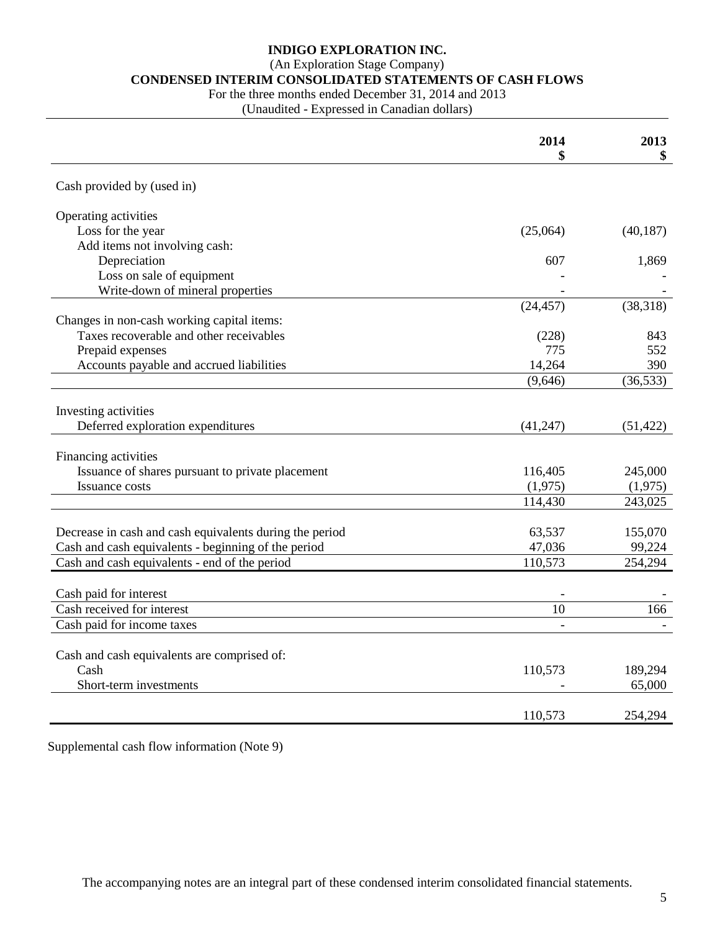(An Exploration Stage Company)

# **CONDENSED INTERIM CONSOLIDATED STATEMENTS OF CASH FLOWS**

For the three months ended December 31, 2014 and 2013

(Unaudited - Expressed in Canadian dollars)

|                                                         | 2014      | 2013<br>\$ |
|---------------------------------------------------------|-----------|------------|
|                                                         |           |            |
| Cash provided by (used in)                              |           |            |
| Operating activities                                    |           |            |
| Loss for the year                                       | (25,064)  | (40, 187)  |
| Add items not involving cash:                           |           |            |
| Depreciation                                            | 607       | 1,869      |
| Loss on sale of equipment                               |           |            |
| Write-down of mineral properties                        |           |            |
|                                                         | (24, 457) | (38, 318)  |
| Changes in non-cash working capital items:              |           |            |
| Taxes recoverable and other receivables                 | (228)     | 843        |
| Prepaid expenses                                        | 775       | 552        |
| Accounts payable and accrued liabilities                | 14,264    | 390        |
|                                                         | (9,646)   | (36, 533)  |
|                                                         |           |            |
| Investing activities                                    |           |            |
| Deferred exploration expenditures                       | (41,247)  | (51, 422)  |
|                                                         |           |            |
| Financing activities                                    |           |            |
| Issuance of shares pursuant to private placement        | 116,405   | 245,000    |
| Issuance costs                                          | (1,975)   | (1,975)    |
|                                                         | 114,430   | 243,025    |
|                                                         |           |            |
| Decrease in cash and cash equivalents during the period | 63,537    | 155,070    |
| Cash and cash equivalents - beginning of the period     | 47,036    | 99,224     |
| Cash and cash equivalents - end of the period           | 110,573   | 254,294    |
|                                                         |           |            |
| Cash paid for interest                                  |           |            |
| Cash received for interest                              | 10        | 166        |
| Cash paid for income taxes                              |           |            |
|                                                         |           |            |
| Cash and cash equivalents are comprised of:             |           |            |
| Cash                                                    | 110,573   | 189,294    |
| Short-term investments                                  |           | 65,000     |
|                                                         |           |            |
|                                                         | 110,573   | 254,294    |

Supplemental cash flow information (Note 9)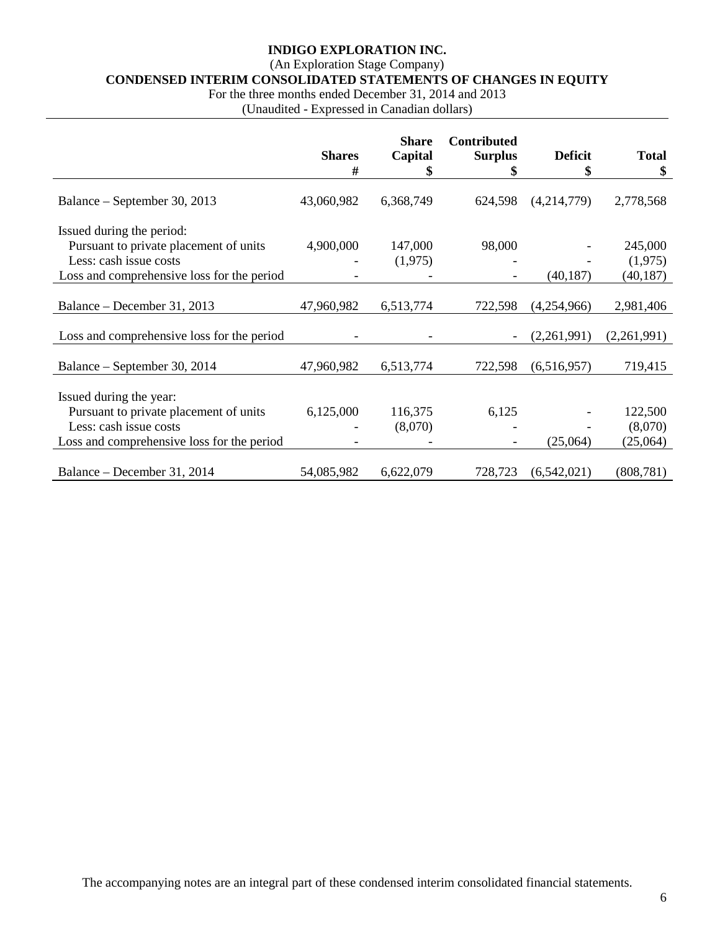(An Exploration Stage Company)

**CONDENSED INTERIM CONSOLIDATED STATEMENTS OF CHANGES IN EQUITY**

For the three months ended December 31, 2014 and 2013

(Unaudited - Expressed in Canadian dollars)

|                                            | <b>Shares</b><br># | <b>Share</b><br>Capital<br>\$ | <b>Contributed</b><br><b>Surplus</b><br>\$ | <b>Deficit</b><br>\$ | <b>Total</b><br>\$ |
|--------------------------------------------|--------------------|-------------------------------|--------------------------------------------|----------------------|--------------------|
|                                            |                    |                               |                                            |                      |                    |
| Balance – September 30, 2013               | 43,060,982         | 6,368,749                     | 624,598                                    | (4,214,779)          | 2,778,568          |
| Issued during the period:                  |                    |                               |                                            |                      |                    |
| Pursuant to private placement of units     | 4,900,000          | 147,000                       | 98,000                                     |                      | 245,000            |
| Less: cash issue costs                     |                    | (1,975)                       |                                            |                      | (1,975)            |
| Loss and comprehensive loss for the period |                    |                               |                                            | (40, 187)            | (40, 187)          |
|                                            |                    |                               |                                            |                      |                    |
| Balance – December 31, 2013                | 47,960,982         | 6,513,774                     | 722,598                                    | (4,254,966)          | 2,981,406          |
|                                            |                    |                               |                                            |                      |                    |
| Loss and comprehensive loss for the period |                    |                               |                                            | (2,261,991)          | (2,261,991)        |
| Balance – September 30, 2014               | 47,960,982         | 6,513,774                     | 722,598                                    | (6,516,957)          | 719,415            |
|                                            |                    |                               |                                            |                      |                    |
| Issued during the year:                    |                    |                               |                                            |                      |                    |
| Pursuant to private placement of units     | 6,125,000          | 116,375                       | 6,125                                      |                      | 122,500            |
| Less: cash issue costs                     |                    | (8,070)                       |                                            |                      | (8,070)            |
| Loss and comprehensive loss for the period |                    |                               |                                            | (25,064)             | (25,064)           |
|                                            |                    |                               |                                            |                      |                    |
| Balance – December 31, 2014                | 54,085,982         | 6,622,079                     | 728,723                                    | (6,542,021)          | (808, 781)         |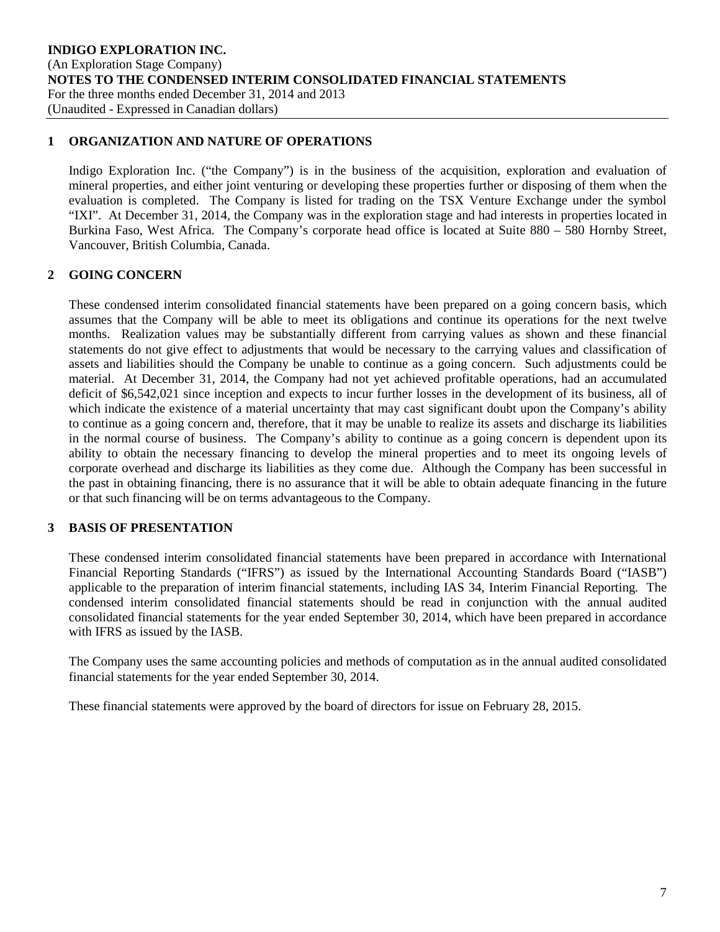# **1 ORGANIZATION AND NATURE OF OPERATIONS**

Indigo Exploration Inc. ("the Company") is in the business of the acquisition, exploration and evaluation of mineral properties, and either joint venturing or developing these properties further or disposing of them when the evaluation is completed. The Company is listed for trading on the TSX Venture Exchange under the symbol "IXI". At December 31, 2014, the Company was in the exploration stage and had interests in properties located in Burkina Faso, West Africa. The Company's corporate head office is located at Suite 880 – 580 Hornby Street, Vancouver, British Columbia, Canada.

# **2 GOING CONCERN**

These condensed interim consolidated financial statements have been prepared on a going concern basis, which assumes that the Company will be able to meet its obligations and continue its operations for the next twelve months. Realization values may be substantially different from carrying values as shown and these financial statements do not give effect to adjustments that would be necessary to the carrying values and classification of assets and liabilities should the Company be unable to continue as a going concern. Such adjustments could be material. At December 31, 2014, the Company had not yet achieved profitable operations, had an accumulated deficit of \$6,542,021 since inception and expects to incur further losses in the development of its business, all of which indicate the existence of a material uncertainty that may cast significant doubt upon the Company's ability to continue as a going concern and, therefore, that it may be unable to realize its assets and discharge its liabilities in the normal course of business. The Company's ability to continue as a going concern is dependent upon its ability to obtain the necessary financing to develop the mineral properties and to meet its ongoing levels of corporate overhead and discharge its liabilities as they come due. Although the Company has been successful in the past in obtaining financing, there is no assurance that it will be able to obtain adequate financing in the future or that such financing will be on terms advantageous to the Company.

# **3 BASIS OF PRESENTATION**

These condensed interim consolidated financial statements have been prepared in accordance with International Financial Reporting Standards ("IFRS") as issued by the International Accounting Standards Board ("IASB") applicable to the preparation of interim financial statements, including IAS 34, Interim Financial Reporting. The condensed interim consolidated financial statements should be read in conjunction with the annual audited consolidated financial statements for the year ended September 30, 2014, which have been prepared in accordance with IFRS as issued by the IASB.

The Company uses the same accounting policies and methods of computation as in the annual audited consolidated financial statements for the year ended September 30, 2014.

These financial statements were approved by the board of directors for issue on February 28, 2015.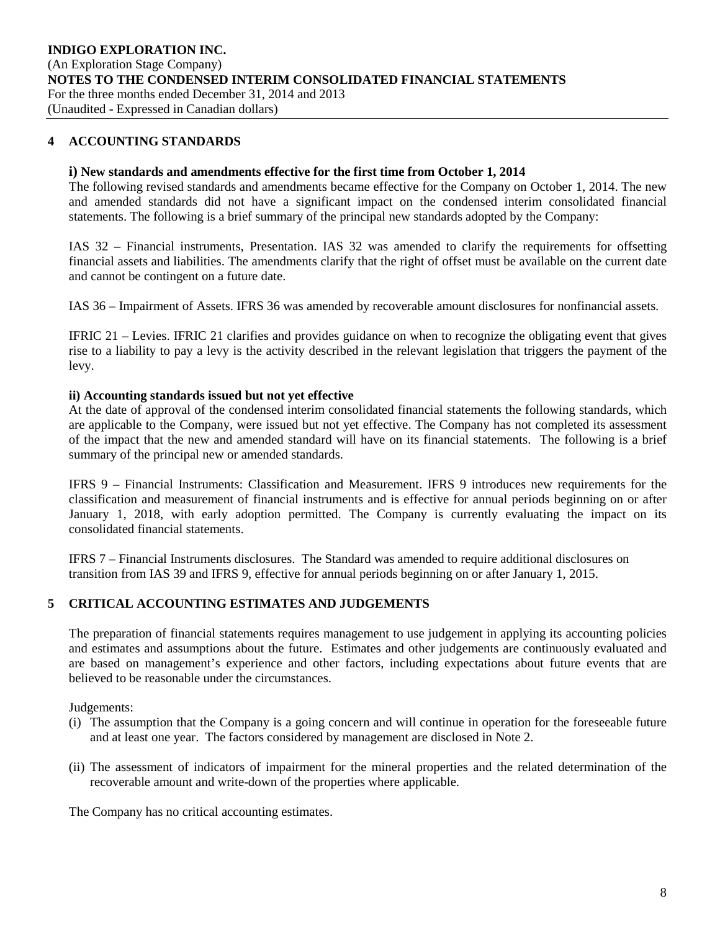### **4 ACCOUNTING STANDARDS**

#### **i) New standards and amendments effective for the first time from October 1, 2014**

The following revised standards and amendments became effective for the Company on October 1, 2014. The new and amended standards did not have a significant impact on the condensed interim consolidated financial statements. The following is a brief summary of the principal new standards adopted by the Company:

IAS 32 – Financial instruments, Presentation. IAS 32 was amended to clarify the requirements for offsetting financial assets and liabilities. The amendments clarify that the right of offset must be available on the current date and cannot be contingent on a future date.

IAS 36 – Impairment of Assets. IFRS 36 was amended by recoverable amount disclosures for nonfinancial assets.

IFRIC 21 – Levies. IFRIC 21 clarifies and provides guidance on when to recognize the obligating event that gives rise to a liability to pay a levy is the activity described in the relevant legislation that triggers the payment of the levy.

#### **ii) Accounting standards issued but not yet effective**

At the date of approval of the condensed interim consolidated financial statements the following standards, which are applicable to the Company, were issued but not yet effective. The Company has not completed its assessment of the impact that the new and amended standard will have on its financial statements. The following is a brief summary of the principal new or amended standards.

IFRS 9 – Financial Instruments: Classification and Measurement. IFRS 9 introduces new requirements for the classification and measurement of financial instruments and is effective for annual periods beginning on or after January 1, 2018, with early adoption permitted. The Company is currently evaluating the impact on its consolidated financial statements.

IFRS 7 – Financial Instruments disclosures. The Standard was amended to require additional disclosures on transition from IAS 39 and IFRS 9, effective for annual periods beginning on or after January 1, 2015.

### **5 CRITICAL ACCOUNTING ESTIMATES AND JUDGEMENTS**

The preparation of financial statements requires management to use judgement in applying its accounting policies and estimates and assumptions about the future. Estimates and other judgements are continuously evaluated and are based on management's experience and other factors, including expectations about future events that are believed to be reasonable under the circumstances.

Judgements:

- (i) The assumption that the Company is a going concern and will continue in operation for the foreseeable future and at least one year. The factors considered by management are disclosed in Note 2.
- (ii) The assessment of indicators of impairment for the mineral properties and the related determination of the recoverable amount and write-down of the properties where applicable.

The Company has no critical accounting estimates.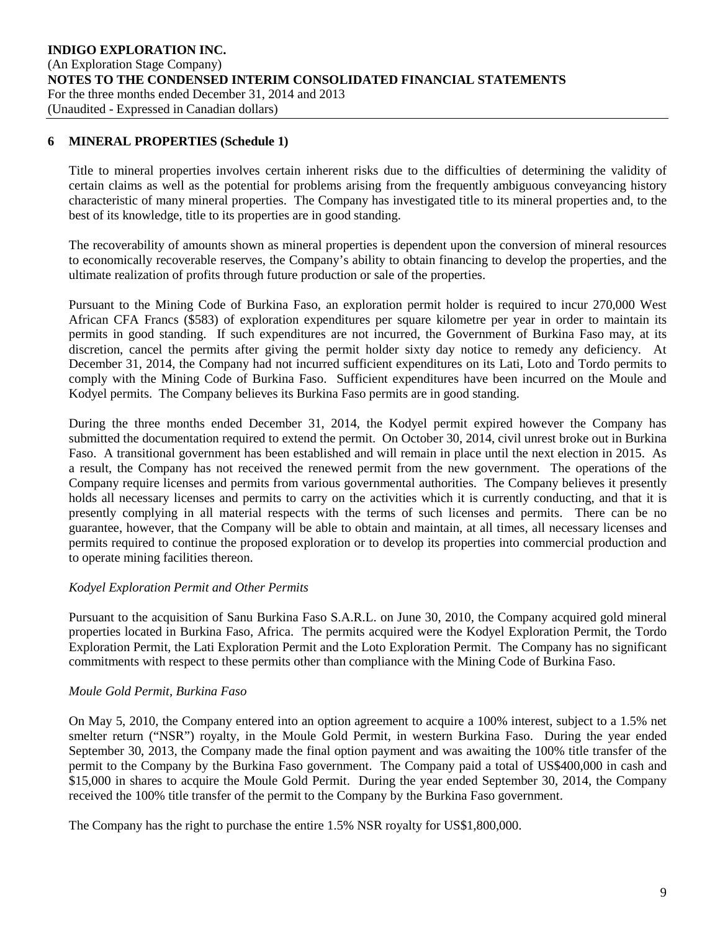# **6 MINERAL PROPERTIES (Schedule 1)**

Title to mineral properties involves certain inherent risks due to the difficulties of determining the validity of certain claims as well as the potential for problems arising from the frequently ambiguous conveyancing history characteristic of many mineral properties. The Company has investigated title to its mineral properties and, to the best of its knowledge, title to its properties are in good standing.

The recoverability of amounts shown as mineral properties is dependent upon the conversion of mineral resources to economically recoverable reserves, the Company's ability to obtain financing to develop the properties, and the ultimate realization of profits through future production or sale of the properties.

Pursuant to the Mining Code of Burkina Faso, an exploration permit holder is required to incur 270,000 West African CFA Francs (\$583) of exploration expenditures per square kilometre per year in order to maintain its permits in good standing. If such expenditures are not incurred, the Government of Burkina Faso may, at its discretion, cancel the permits after giving the permit holder sixty day notice to remedy any deficiency. At December 31, 2014, the Company had not incurred sufficient expenditures on its Lati, Loto and Tordo permits to comply with the Mining Code of Burkina Faso. Sufficient expenditures have been incurred on the Moule and Kodyel permits. The Company believes its Burkina Faso permits are in good standing.

During the three months ended December 31, 2014, the Kodyel permit expired however the Company has submitted the documentation required to extend the permit. On October 30, 2014, civil unrest broke out in Burkina Faso. A transitional government has been established and will remain in place until the next election in 2015. As a result, the Company has not received the renewed permit from the new government. The operations of the Company require licenses and permits from various governmental authorities. The Company believes it presently holds all necessary licenses and permits to carry on the activities which it is currently conducting, and that it is presently complying in all material respects with the terms of such licenses and permits. There can be no guarantee, however, that the Company will be able to obtain and maintain, at all times, all necessary licenses and permits required to continue the proposed exploration or to develop its properties into commercial production and to operate mining facilities thereon.

### *Kodyel Exploration Permit and Other Permits*

Pursuant to the acquisition of Sanu Burkina Faso S.A.R.L. on June 30, 2010, the Company acquired gold mineral properties located in Burkina Faso, Africa. The permits acquired were the Kodyel Exploration Permit, the Tordo Exploration Permit, the Lati Exploration Permit and the Loto Exploration Permit. The Company has no significant commitments with respect to these permits other than compliance with the Mining Code of Burkina Faso.

### *Moule Gold Permit, Burkina Faso*

On May 5, 2010, the Company entered into an option agreement to acquire a 100% interest, subject to a 1.5% net smelter return ("NSR") royalty, in the Moule Gold Permit, in western Burkina Faso. During the year ended September 30, 2013, the Company made the final option payment and was awaiting the 100% title transfer of the permit to the Company by the Burkina Faso government. The Company paid a total of US\$400,000 in cash and \$15,000 in shares to acquire the Moule Gold Permit. During the year ended September 30, 2014, the Company received the 100% title transfer of the permit to the Company by the Burkina Faso government.

The Company has the right to purchase the entire 1.5% NSR royalty for US\$1,800,000.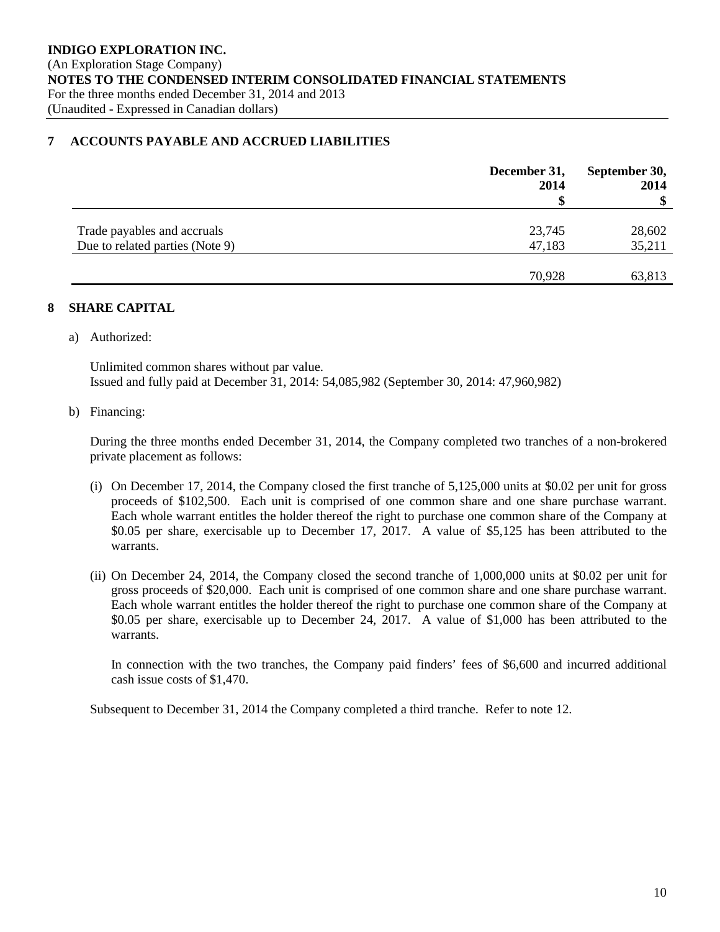# **7 ACCOUNTS PAYABLE AND ACCRUED LIABILITIES**

|                                 | December 31,<br>2014 | September 30,<br>2014<br>$\boldsymbol{\$}$ |
|---------------------------------|----------------------|--------------------------------------------|
|                                 |                      |                                            |
| Trade payables and accruals     | 23,745               | 28,602                                     |
| Due to related parties (Note 9) | 47,183               | 35,211                                     |
|                                 |                      |                                            |
|                                 | 70,928               | 63,813                                     |

# **8 SHARE CAPITAL**

a) Authorized:

Unlimited common shares without par value. Issued and fully paid at December 31, 2014: 54,085,982 (September 30, 2014: 47,960,982)

b) Financing:

During the three months ended December 31, 2014, the Company completed two tranches of a non-brokered private placement as follows:

- (i) On December 17, 2014, the Company closed the first tranche of 5,125,000 units at \$0.02 per unit for gross proceeds of \$102,500. Each unit is comprised of one common share and one share purchase warrant. Each whole warrant entitles the holder thereof the right to purchase one common share of the Company at \$0.05 per share, exercisable up to December 17, 2017. A value of \$5,125 has been attributed to the warrants.
- (ii) On December 24, 2014, the Company closed the second tranche of 1,000,000 units at \$0.02 per unit for gross proceeds of \$20,000. Each unit is comprised of one common share and one share purchase warrant. Each whole warrant entitles the holder thereof the right to purchase one common share of the Company at \$0.05 per share, exercisable up to December 24, 2017. A value of \$1,000 has been attributed to the warrants.

In connection with the two tranches, the Company paid finders' fees of \$6,600 and incurred additional cash issue costs of \$1,470.

Subsequent to December 31, 2014 the Company completed a third tranche. Refer to note 12.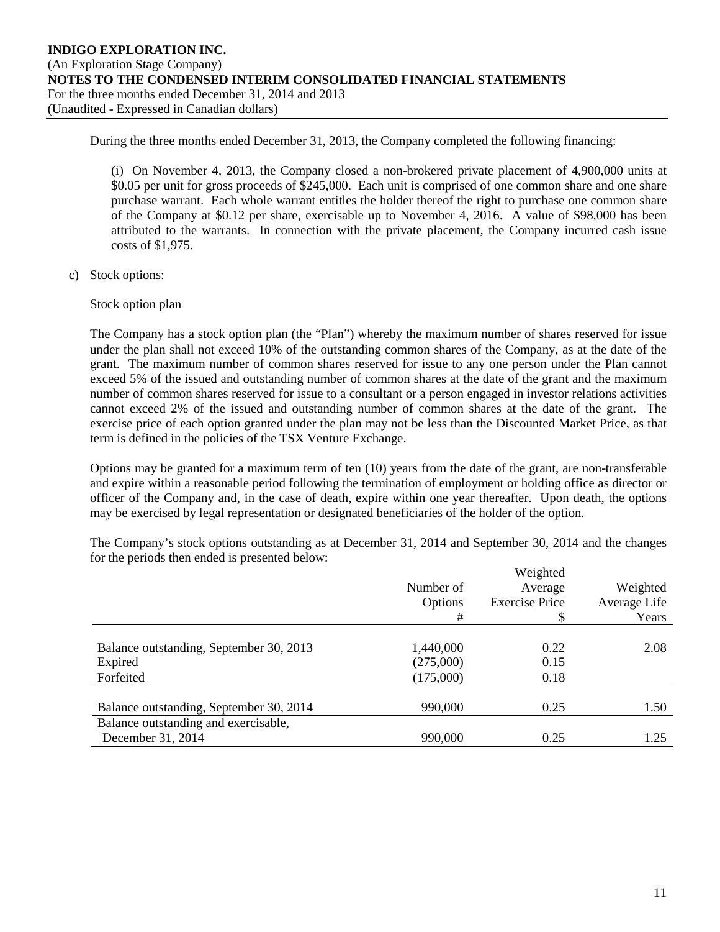During the three months ended December 31, 2013, the Company completed the following financing:

(i) On November 4, 2013, the Company closed a non-brokered private placement of 4,900,000 units at \$0.05 per unit for gross proceeds of \$245,000. Each unit is comprised of one common share and one share purchase warrant. Each whole warrant entitles the holder thereof the right to purchase one common share of the Company at \$0.12 per share, exercisable up to November 4, 2016. A value of \$98,000 has been attributed to the warrants. In connection with the private placement, the Company incurred cash issue costs of \$1,975.

c) Stock options:

Stock option plan

The Company has a stock option plan (the "Plan") whereby the maximum number of shares reserved for issue under the plan shall not exceed 10% of the outstanding common shares of the Company, as at the date of the grant. The maximum number of common shares reserved for issue to any one person under the Plan cannot exceed 5% of the issued and outstanding number of common shares at the date of the grant and the maximum number of common shares reserved for issue to a consultant or a person engaged in investor relations activities cannot exceed 2% of the issued and outstanding number of common shares at the date of the grant. The exercise price of each option granted under the plan may not be less than the Discounted Market Price, as that term is defined in the policies of the TSX Venture Exchange.

Options may be granted for a maximum term of ten (10) years from the date of the grant, are non-transferable and expire within a reasonable period following the termination of employment or holding office as director or officer of the Company and, in the case of death, expire within one year thereafter. Upon death, the options may be exercised by legal representation or designated beneficiaries of the holder of the option.

The Company's stock options outstanding as at December 31, 2014 and September 30, 2014 and the changes for the periods then ended is presented below: Weighted

|                                         |           | Weighted              |              |
|-----------------------------------------|-----------|-----------------------|--------------|
|                                         | Number of | Average               | Weighted     |
|                                         | Options   | <b>Exercise Price</b> | Average Life |
|                                         | #         | \$                    | Years        |
|                                         |           |                       |              |
| Balance outstanding, September 30, 2013 | 1,440,000 | 0.22                  | 2.08         |
| Expired                                 | (275,000) | 0.15                  |              |
| Forfeited                               | (175,000) | 0.18                  |              |
|                                         |           |                       |              |
| Balance outstanding, September 30, 2014 | 990,000   | 0.25                  | 1.50         |
| Balance outstanding and exercisable,    |           |                       |              |
| December 31, 2014                       | 990,000   | 0.25                  | 1.25         |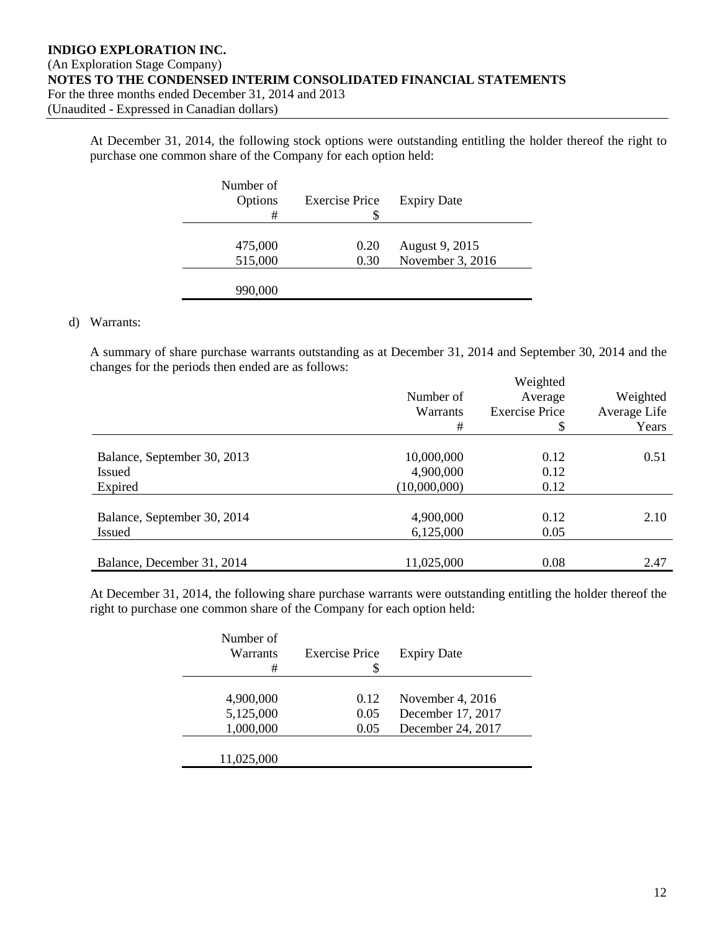At December 31, 2014, the following stock options were outstanding entitling the holder thereof the right to purchase one common share of the Company for each option held:

| Number of<br>Options<br># | <b>Exercise Price</b><br>S | <b>Expiry Date</b> |
|---------------------------|----------------------------|--------------------|
| 475,000                   | 0.20                       | August 9, 2015     |
| 515,000                   | 0.30                       | November 3, 2016   |
| 990,000                   |                            |                    |

### d) Warrants:

A summary of share purchase warrants outstanding as at December 31, 2014 and September 30, 2014 and the changes for the periods then ended are as follows:  $W^{t}$  and  $L^{t}$  and  $\mathcal{A}$ 

|                             |              | Weighted              |              |  |
|-----------------------------|--------------|-----------------------|--------------|--|
|                             | Number of    | Average               | Weighted     |  |
|                             | Warrants     | <b>Exercise Price</b> | Average Life |  |
|                             | #            | \$                    | Years        |  |
|                             |              |                       |              |  |
| Balance, September 30, 2013 | 10,000,000   | 0.12                  | 0.51         |  |
| <b>Issued</b>               | 4,900,000    | 0.12                  |              |  |
| Expired                     | (10,000,000) | 0.12                  |              |  |
|                             | 4,900,000    | 0.12                  | 2.10         |  |
| Balance, September 30, 2014 |              |                       |              |  |
| <b>Issued</b>               | 6,125,000    | 0.05                  |              |  |
| Balance, December 31, 2014  | 11,025,000   | 0.08                  | 2.47         |  |

At December 31, 2014, the following share purchase warrants were outstanding entitling the holder thereof the right to purchase one common share of the Company for each option held:

| Number of<br>Warrants<br># | <b>Exercise Price</b> | <b>Expiry Date</b> |
|----------------------------|-----------------------|--------------------|
|                            |                       |                    |
| 4,900,000                  | 0.12                  | November 4, 2016   |
| 5,125,000                  | 0.05                  | December 17, 2017  |
| 1,000,000                  | 0.05                  | December 24, 2017  |
|                            |                       |                    |
| 11,025,000                 |                       |                    |
|                            |                       |                    |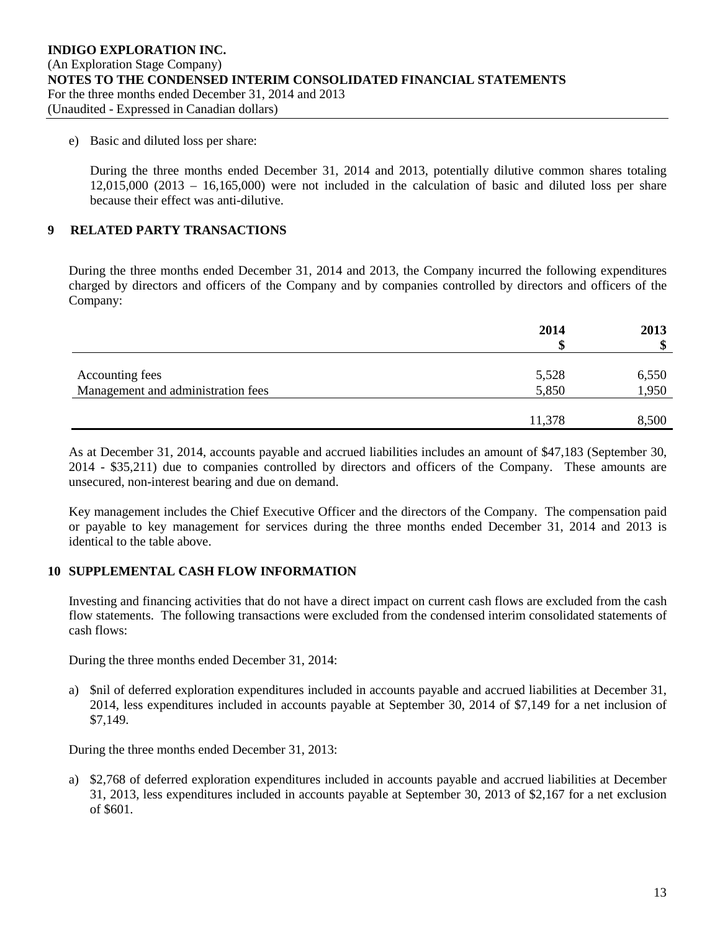e) Basic and diluted loss per share:

During the three months ended December 31, 2014 and 2013, potentially dilutive common shares totaling 12,015,000 (2013 – 16,165,000) were not included in the calculation of basic and diluted loss per share because their effect was anti-dilutive.

# **9 RELATED PARTY TRANSACTIONS**

During the three months ended December 31, 2014 and 2013, the Company incurred the following expenditures charged by directors and officers of the Company and by companies controlled by directors and officers of the Company:

|                                    | 2014   | 2013<br>۰D |
|------------------------------------|--------|------------|
|                                    |        |            |
| Accounting fees                    | 5,528  | 6,550      |
| Management and administration fees | 5,850  | 1,950      |
|                                    |        |            |
|                                    | 11,378 | 8,500      |

As at December 31, 2014, accounts payable and accrued liabilities includes an amount of \$47,183 (September 30, 2014 - \$35,211) due to companies controlled by directors and officers of the Company. These amounts are unsecured, non-interest bearing and due on demand.

Key management includes the Chief Executive Officer and the directors of the Company. The compensation paid or payable to key management for services during the three months ended December 31, 2014 and 2013 is identical to the table above.

### **10 SUPPLEMENTAL CASH FLOW INFORMATION**

Investing and financing activities that do not have a direct impact on current cash flows are excluded from the cash flow statements. The following transactions were excluded from the condensed interim consolidated statements of cash flows:

During the three months ended December 31, 2014:

a) \$nil of deferred exploration expenditures included in accounts payable and accrued liabilities at December 31, 2014, less expenditures included in accounts payable at September 30, 2014 of \$7,149 for a net inclusion of \$7,149.

During the three months ended December 31, 2013:

a) \$2,768 of deferred exploration expenditures included in accounts payable and accrued liabilities at December 31, 2013, less expenditures included in accounts payable at September 30, 2013 of \$2,167 for a net exclusion of \$601.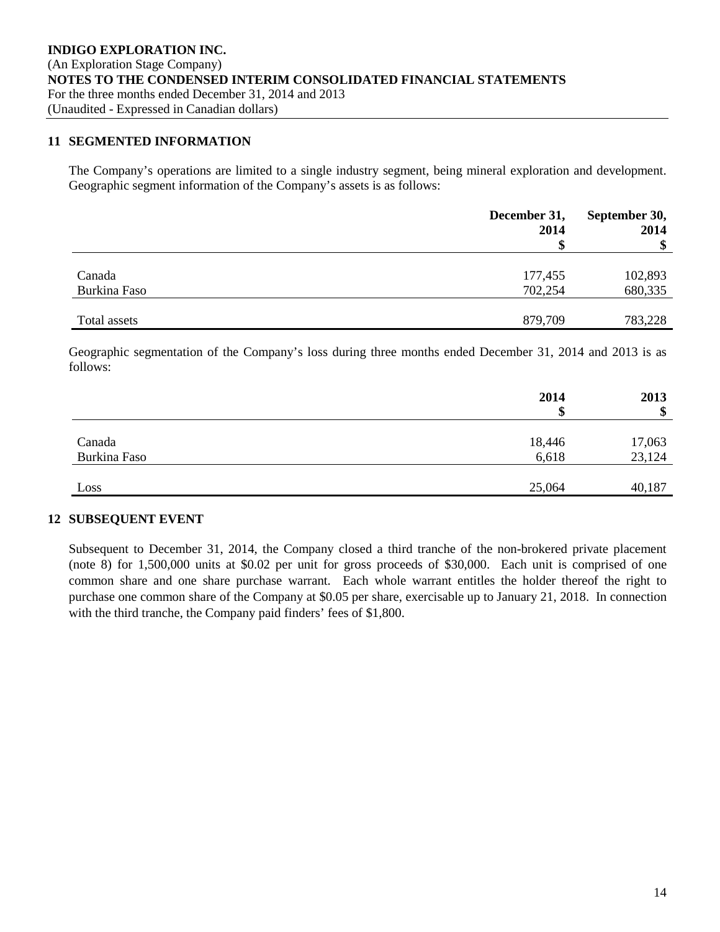### **11 SEGMENTED INFORMATION**

The Company's operations are limited to a single industry segment, being mineral exploration and development. Geographic segment information of the Company's assets is as follows:

|              | December 31,<br>2014 | September 30,<br>2014<br>$\boldsymbol{\$}$ |
|--------------|----------------------|--------------------------------------------|
|              |                      |                                            |
| Canada       | 177,455              | 102,893                                    |
| Burkina Faso | 702,254              | 680,335                                    |
| Total assets | 879,709              | 783,228                                    |

Geographic segmentation of the Company's loss during three months ended December 31, 2014 and 2013 is as follows:

|              | 2014   | 2013<br>\$ |
|--------------|--------|------------|
|              |        |            |
| Canada       | 18,446 | 17,063     |
| Burkina Faso | 6,618  | 23,124     |
|              |        |            |
| Loss         | 25,064 | 40,187     |

### **12 SUBSEQUENT EVENT**

Subsequent to December 31, 2014, the Company closed a third tranche of the non-brokered private placement (note 8) for 1,500,000 units at \$0.02 per unit for gross proceeds of \$30,000. Each unit is comprised of one common share and one share purchase warrant. Each whole warrant entitles the holder thereof the right to purchase one common share of the Company at \$0.05 per share, exercisable up to January 21, 2018. In connection with the third tranche, the Company paid finders' fees of \$1,800.